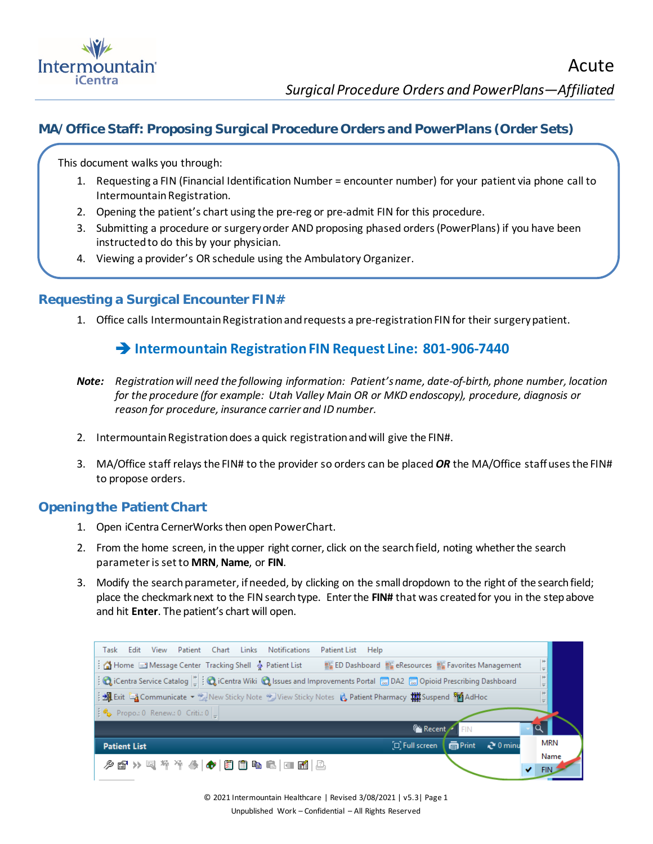

## **MA/Office Staff: Proposing Surgical Procedure Orders and PowerPlans (Order Sets)**

This document walks you through:

- 1. Requesting a FIN (Financial Identification Number = encounter number) for your patient via phone call to Intermountain Registration.
- 2. Opening the patient's chart using the pre-reg or pre-admit FIN for this procedure.
- 3. Submitting a procedure or surgery order AND proposing phased orders (PowerPlans) if you have been instructed to do this by your physician.
- 4. Viewing a provider's OR schedule using the Ambulatory Organizer.

### **Requesting a Surgical Encounter FIN#**

1. Office calls Intermountain Registration and requests a pre-registration FIN for their surgery patient.

## **Intermountain Registration FIN Request Line: 801-906-7440**

- *Note: Registration will need the following information: Patient's name, date-of-birth, phone number, location for the procedure (for example: Utah Valley Main OR or MKD endoscopy), procedure, diagnosis or reason for procedure, insurance carrier and ID number.*
- 2. Intermountain Registration does a quick registration and will give the FIN#.
- 3. MA/Office staff relays the FIN# to the provider so orders can be placed *OR* the MA/Office staff uses the FIN# to propose orders.

### **Opening the Patient Chart**

- 1. Open iCentra CernerWorks then open PowerChart.
- 2. From the home screen, in the upper right corner, click on the search field, noting whether the search parameter is set to **MRN**, **Name**, or **FIN**.
- 3. Modify the search parameter, if needed, by clicking on the small dropdown to the right of the search field; place the checkmark next to the FIN search type. Enter the FIN# that was created for you in the step above and hit **Enter**. The patient's chart will open.

| View Patient Chart<br>Links<br><b>Notifications</b><br>Patient List Help<br>Task<br>Edit                                                                       |                    |
|----------------------------------------------------------------------------------------------------------------------------------------------------------------|--------------------|
| Home El Message Center Tracking Shell & Patient List<br>ED Dashboard EL eResources EL Favorites Management                                                     | Ħ<br>$\equiv$      |
| Centra Service Catalog $\left \frac{b}{c}\right $ : @ iCentra Wiki @ Issues and Improvements Portal @ DA2 @ Opioid Prescribing Dashboard                       | Ħ<br>$\Rightarrow$ |
| i M Exit La Communicate • Le New Sticky Note • View Sticky Notes it, Patient Pharmacy till Suspend <sup>8</sup>                                                | ÷                  |
| $\left \begin{array}{cc} \bullet & \bullet \\ \bullet & \bullet \end{array}\right $ Propo.: 0 Renew.: 0 Criti.: 0 $\left \begin{array}{cc} \end{array}\right $ |                    |
| <b>FRECENT</b>                                                                                                                                                 |                    |
| 面Print<br>$20$ minu<br>$\Xi$ . Full screen<br><b>Patient List</b>                                                                                              | <b>MRN</b>         |
| 夕む≫スかかあ ◆ 眉自も己 □图 凸                                                                                                                                            | Name<br>FIN.       |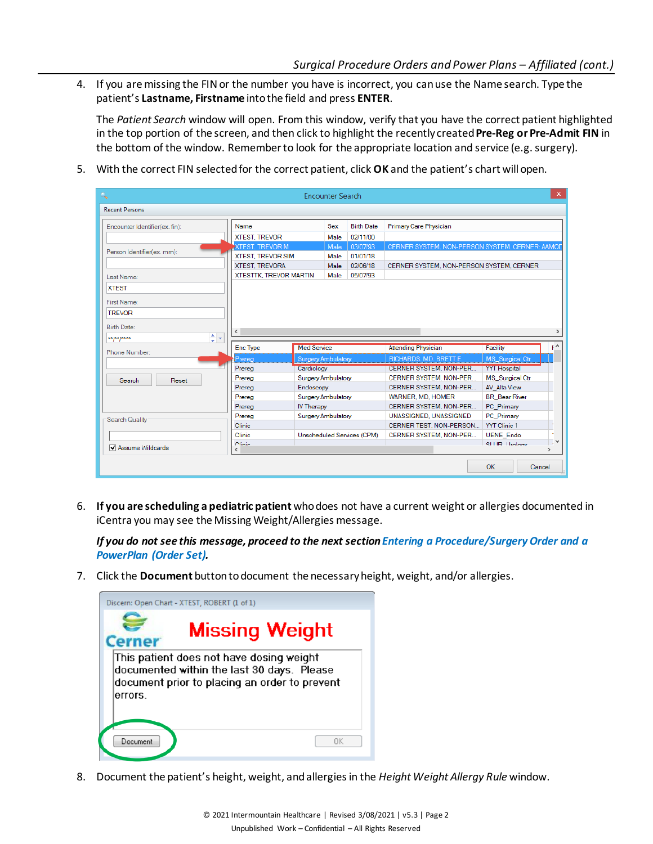4. If you are missing the FIN or the number you have is incorrect, you can use the Name search. Type the patient's **Lastname, Firstname** into the field and press **ENTER**.

The *Patient Search* window will open. From this window, verify that you have the correct patient highlighted in the top portion of the screen, and then click to highlight the recently created **Pre-Reg or Pre-Admit FIN** in the bottom of the window. Remember to look for the appropriate location and service (e.g. surgery).

5. With the correct FIN selected for the correct patient, click **OK** and the patient's chart will open.

| Q                              |                               |                           | <b>Encounter Search</b> |                            |                               |  |                                                 | $\mathsf{x}$  |  |
|--------------------------------|-------------------------------|---------------------------|-------------------------|----------------------------|-------------------------------|--|-------------------------------------------------|---------------|--|
| <b>Recent Persons</b>          |                               |                           |                         |                            |                               |  |                                                 |               |  |
| Encounter Identifier(ex. fin): | Name                          |                           | Sex                     | <b>Birth Date</b>          | <b>Primary Care Physician</b> |  |                                                 |               |  |
|                                | <b>XTEST, TREVOR</b>          |                           | Male                    | 02/11/00                   |                               |  |                                                 |               |  |
|                                | <b>XTEST, TREVOR M</b>        |                           | Male                    | 03/07/93                   |                               |  | CERNER SYSTEM, NON-PERSON SYSTEM, CERNER; AAMOD |               |  |
| Person Identifier(ex. mrn):    | <b>XTEST, TREVOR SIM</b>      |                           | Male                    | 01/01/18                   |                               |  |                                                 |               |  |
|                                | <b>XTEST, TREVORA</b>         |                           | Male                    | 02/06/18                   |                               |  | CERNER SYSTEM, NON-PERSON SYSTEM, CERNER        |               |  |
| Last Name:                     | <b>XTESTTK, TREVOR MARTIN</b> |                           | Male                    | 05/07/93                   |                               |  |                                                 |               |  |
| <b>XTEST</b>                   |                               |                           |                         |                            |                               |  |                                                 |               |  |
| First Name:                    |                               |                           |                         |                            |                               |  |                                                 |               |  |
| <b>TREVOR</b>                  |                               |                           |                         |                            |                               |  |                                                 |               |  |
|                                |                               |                           |                         |                            |                               |  |                                                 |               |  |
| <b>Birth Date:</b>             | $\hat{}$                      |                           |                         |                            |                               |  |                                                 |               |  |
| ÷۶<br>$*$ * $*$ $*$ $*$ ****   |                               |                           |                         |                            |                               |  |                                                 |               |  |
| Phone Number:                  | <b>Enc Type</b>               | <b>Med Service</b>        |                         |                            | <b>Attending Physician</b>    |  | Facility                                        | tΑ            |  |
|                                | Prerea                        | <b>Surgery Ambulatory</b> |                         |                            | RICHARDS, MD, BRETT E.        |  | <b>MS</b> Surgical Ctr                          |               |  |
|                                | Prereg                        | Cardiology                |                         |                            | <b>CERNER SYSTEM, NON-PER</b> |  | <b>YYT Hospital</b>                             |               |  |
| Search<br>Reset                | Prereg                        | <b>Surgery Ambulatory</b> |                         |                            | CERNER SYSTEM, NON-PER        |  | <b>MS</b> Surgical Ctr<br><b>AV Alta View</b>   |               |  |
|                                | Prereg                        | Endoscopy                 |                         |                            | CERNER SYSTEM, NON-PER        |  |                                                 |               |  |
|                                | Prereg                        | <b>Surgery Ambulatory</b> |                         |                            | WARNER, MD, HOMER             |  | <b>BR</b> Bear River                            |               |  |
|                                | Prereg                        | <b>IV Therapy</b>         |                         |                            | CERNER SYSTEM, NON-PER        |  | PC Primary                                      |               |  |
| Search Quality                 | Prereg                        | <b>Surgery Ambulatory</b> |                         |                            | UNASSIGNED, UNASSIGNED        |  | PC Primary                                      |               |  |
|                                | <b>Clinic</b>                 |                           |                         |                            | CERNER TEST. NON-PERSON       |  | <b>YYT Clinic 1</b>                             |               |  |
|                                | Clinic                        |                           |                         | Unscheduled Services (CPM) | CERNER SYSTEM, NON-PER        |  | <b>UENE Endo</b>                                |               |  |
| Assume Wildcards               | Clinic<br>∢                   |                           |                         |                            |                               |  | <b>QLITD</b> Healand                            | $\rightarrow$ |  |
|                                |                               |                           |                         |                            |                               |  |                                                 |               |  |
|                                |                               |                           |                         |                            |                               |  | OK                                              | Cancel        |  |

6. **If you are scheduling a pediatric patient** who does not have a current weight or allergies documented in iCentra you may see the Missing Weight/Allergies message.

*If you do not see this message, proceed to the next section Entering a Procedure/Surgery Order and a PowerPlan (Order Set).*

7. Click the **Document** button to document the necessary height, weight, and/or allergies.

| <b>Cerner</b> | <b>Missing Weight</b>                                                                                                                   |
|---------------|-----------------------------------------------------------------------------------------------------------------------------------------|
|               | This patient does not have dosing weight<br>documented within the last 30 days. Please<br>document prior to placing an order to prevent |
| errors.       |                                                                                                                                         |

8. Document the patient's height, weight, and allergies in the *Height Weight Allergy Rule* window.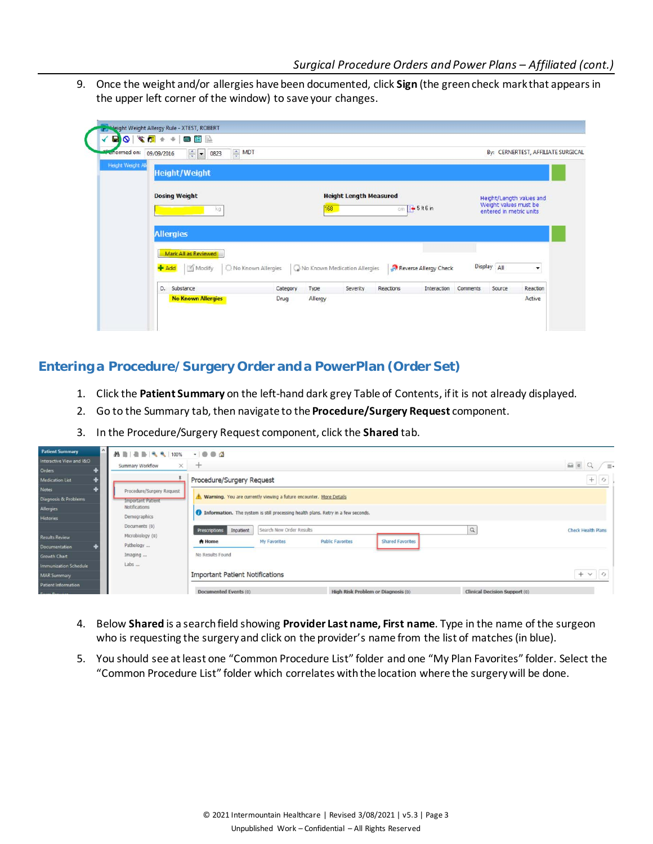9. Once the weight and/or allergies have been documented, click **Sign** (the green check mark that appears in the upper left corner of the window) to save your changes.

| <b>Performed on:</b> | $\triangleq$ MDT<br>$\div$ $\bullet$ 0823<br>09/09/2016 |                    |         |                               |           |                              |          |                                                  | By: CERNERTEST, AFFILIATE SURGICAL |
|----------------------|---------------------------------------------------------|--------------------|---------|-------------------------------|-----------|------------------------------|----------|--------------------------------------------------|------------------------------------|
| Height Weight A      | <b>Height/Weight</b>                                    |                    |         |                               |           |                              |          |                                                  |                                    |
|                      | <b>Dosing Weight</b><br>kg                              |                    | 168     | <b>Height Length Measured</b> |           | $cm$ $\frac{1}{2}$ 5 ft 6 in |          | Weight values must be<br>entered in metric units | Height/Length values and           |
|                      | <b>Allergies</b>                                        |                    |         |                               |           |                              |          |                                                  |                                    |
|                      | Mark All as Reviewed<br><b>PAdd</b><br>Modify           | No Known Allergies |         | No Known Medication Allergies |           | Reverse Allergy Check        |          | Display All                                      | ▼                                  |
|                      | D. Substance                                            | Category           | Type    | Severity                      | Reactions | Interaction                  | Comments | Source                                           | Reaction                           |
|                      | <b>No Known Allergies</b>                               | Drug               | Allergy |                               |           |                              |          |                                                  | Active                             |

## **Entering a Procedure/Surgery Order and a PowerPlan (Order Set)**

- 1. Click the **Patient Summary** on the left-hand dark grey Table of Contents, if it is not already displayed.
- 2. Go to the Summary tab, then navigate to the **Procedure/Surgery Request** component.
- 3. In the Procedure/Surgery Request component, click the **Shared** tab.

| $\sim$<br><b>Patient Summary</b> | <b>船目图画气气100%</b>            | $-000$                                                              |                          |                                                                                   |                                    |                                      |                           |
|----------------------------------|------------------------------|---------------------------------------------------------------------|--------------------------|-----------------------------------------------------------------------------------|------------------------------------|--------------------------------------|---------------------------|
| Interactive View and I&O         |                              |                                                                     |                          |                                                                                   |                                    |                                      | 60                        |
| <b>Orders</b>                    | $\times$<br>Summary Workflow | $+$                                                                 |                          |                                                                                   |                                    |                                      | $\equiv$                  |
| <b>Medication List</b>           |                              | Procedure/Surgery Request                                           |                          |                                                                                   |                                    |                                      | $+$ $\sigma$              |
| <b>Notes</b>                     | Procedure/Surgery Request    |                                                                     |                          |                                                                                   |                                    |                                      |                           |
| Diagnosis & Problems             | <b>Important Patient</b>     | Warning. You are currently viewing a future encounter. More Details |                          |                                                                                   |                                    |                                      |                           |
| Allergies                        | <b>Notifications</b>         |                                                                     |                          | Information. The system is still processing health plans. Retry in a few seconds. |                                    |                                      |                           |
| <b>Histories</b>                 | Demographics                 |                                                                     |                          |                                                                                   |                                    |                                      |                           |
|                                  | Documents (0)                | Inpatient<br>Prescriptions                                          | Search New Order Results |                                                                                   |                                    | $\alpha$                             | <b>Check Health Plans</b> |
| <b>Results Review</b>            | Microbiology (0)             | A Home                                                              | My Favorites             | <b>Public Favorites</b>                                                           | <b>Shared Favorites</b>            |                                      |                           |
| Documentation                    | Pathology                    |                                                                     |                          |                                                                                   |                                    |                                      |                           |
| <b>Growth Chart</b>              | Imaging                      | No Results Found                                                    |                          |                                                                                   |                                    |                                      |                           |
| <b>Immunization Schedule</b>     | Labs                         |                                                                     |                          |                                                                                   |                                    |                                      |                           |
| <b>MAR Summary</b>               |                              | <b>Important Patient Notifications</b>                              |                          |                                                                                   |                                    |                                      | $+$ $\vee$ $\circ$        |
| Patient Information              |                              |                                                                     |                          |                                                                                   |                                    |                                      |                           |
| <b>Provide Programme</b>         |                              | Documented Events (0)                                               |                          |                                                                                   | High Risk Problem or Diagnosis (0) | <b>Clinical Decision Support (0)</b> |                           |

- 4. Below **Shared** is a search field showing **Provider Last name, First name**. Type in the name of the surgeon who is requesting the surgery and click on the provider's name from the list of matches (in blue).
- 5. You should see at least one "Common Procedure List" folder and one "My Plan Favorites" folder. Select the "Common Procedure List" folder which correlates with the location where the surgery will be done.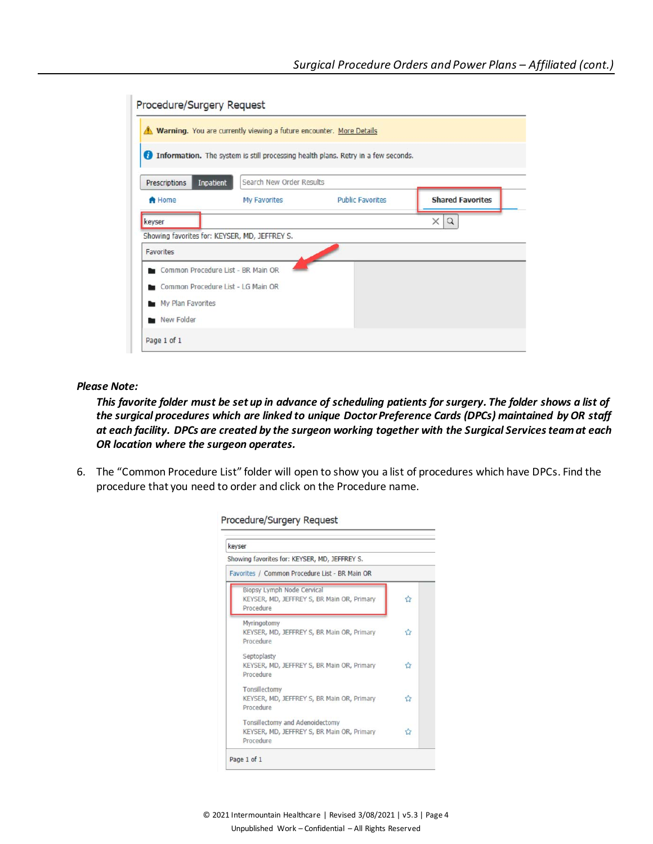| Procedure/Surgery Request                     |                         |                                                                                                                                                                                               |
|-----------------------------------------------|-------------------------|-----------------------------------------------------------------------------------------------------------------------------------------------------------------------------------------------|
|                                               |                         |                                                                                                                                                                                               |
|                                               |                         |                                                                                                                                                                                               |
| Inpatient                                     |                         |                                                                                                                                                                                               |
| My Favorites                                  | <b>Public Favorites</b> | <b>Shared Favorites</b>                                                                                                                                                                       |
|                                               |                         | $\times$<br>$\alpha$                                                                                                                                                                          |
| Showing favorites for: KEYSER, MD, JEFFREY S. |                         |                                                                                                                                                                                               |
|                                               |                         |                                                                                                                                                                                               |
| Common Procedure List - BR Main OR            |                         |                                                                                                                                                                                               |
| Common Procedure List - LG Main OR            |                         |                                                                                                                                                                                               |
| My Plan Favorites                             |                         |                                                                                                                                                                                               |
|                                               |                         |                                                                                                                                                                                               |
|                                               |                         |                                                                                                                                                                                               |
|                                               |                         | Warning. You are currently viewing a future encounter. More Details<br><b>1</b> Information. The system is still processing health plans. Retry in a few seconds.<br>Search New Order Results |

#### *Please Note:*

*This favorite folder must be set up in advance of scheduling patients for surgery. The folder shows a list of the surgical procedures which are linked to unique Doctor Preference Cards (DPCs) maintained by OR staff at each facility. DPCs are created by the surgeon working together with the Surgical Services team at each OR location where the surgeon operates.*

6. The "Common Procedure List" folder will open to show you a list of procedures which have DPCs. Find the procedure that you need to order and click on the Procedure name.

| keyser                                                                                     |   |
|--------------------------------------------------------------------------------------------|---|
| Showing favorites for: KEYSER, MD, JEFFREY S.                                              |   |
| Favorites / Common Procedure List - BR Main OR                                             |   |
| Biopsy Lymph Node Cervical<br>KEYSER, MD, JEFFREY S, BR Main OR, Primary<br>Procedure      | ᢢ |
| Myringotomy<br>KEYSER, MD, JEFFREY S, BR Main OR, Primary<br>Procedure                     | ✿ |
| Septoplasty<br>KEYSER, MD, JEFFREY S, BR Main OR, Primary<br>Procedure                     | ✿ |
| Tonsillectomy<br>KEYSER, MD, JEFFREY S, BR Main OR, Primary<br>Procedure                   | ✿ |
| Tonsillectomy and Adenoidectomy<br>KEYSER, MD, JEFFREY S, BR Main OR, Primary<br>Procedure | ☆ |

#### Procedure/Surgery Reguest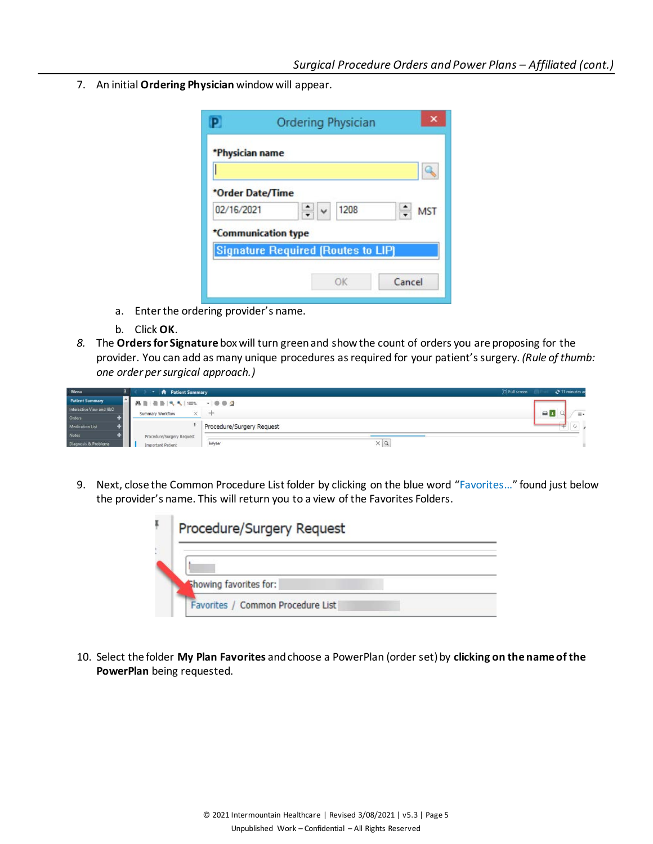7. An initial **Ordering Physician** window will appear.

|                  | <b>Ordering Physician</b>                 |
|------------------|-------------------------------------------|
| *Physician name  |                                           |
| *Order Date/Time |                                           |
| 02/16/2021       | 1208<br><b>MST</b>                        |
|                  | *Communication type                       |
|                  | <b>Signature Required (Routes to LIP)</b> |
|                  | Cancel<br>OK                              |

- a. Enter the ordering provider's name.
- b. Click **OK**.
- *8.* The **Orders for Signature** box will turn green and show the count of orders you are proposing for the provider. You can add as many unique procedures as required for your patient's surgery. *(Rule of thumb: one order per surgical approach.)*

| Menu                     | <b>A</b> Patient Summary     |                           | [D] Full screen |                | 2 11 minutes ad |
|--------------------------|------------------------------|---------------------------|-----------------|----------------|-----------------|
| <b>Patient Summary</b>   |                              |                           |                 |                |                 |
| Interactive View and I&O | $\times$<br>Summary Workflow | company.                  |                 | $\blacksquare$ | $=$             |
| Orders                   |                              |                           |                 |                |                 |
| <b>Medication List</b>   |                              | Procedure/Surgery Request |                 |                | $\rightarrow$   |
| <b>Notes</b>             | Procedure/Surgery Request    |                           |                 |                |                 |
| Diagnosis & Problems     | <b>Important Patient</b>     | $\times a$<br>keyser      |                 |                |                 |

9. Next, close the Common Procedure List folder by clicking on the blue word "Favorites..." found just below the provider's name. This will return you to a view of the Favorites Folders.



10. Select the folder **My Plan Favorites** andchoose a PowerPlan (order set) by **clicking on the name of the PowerPlan** being requested.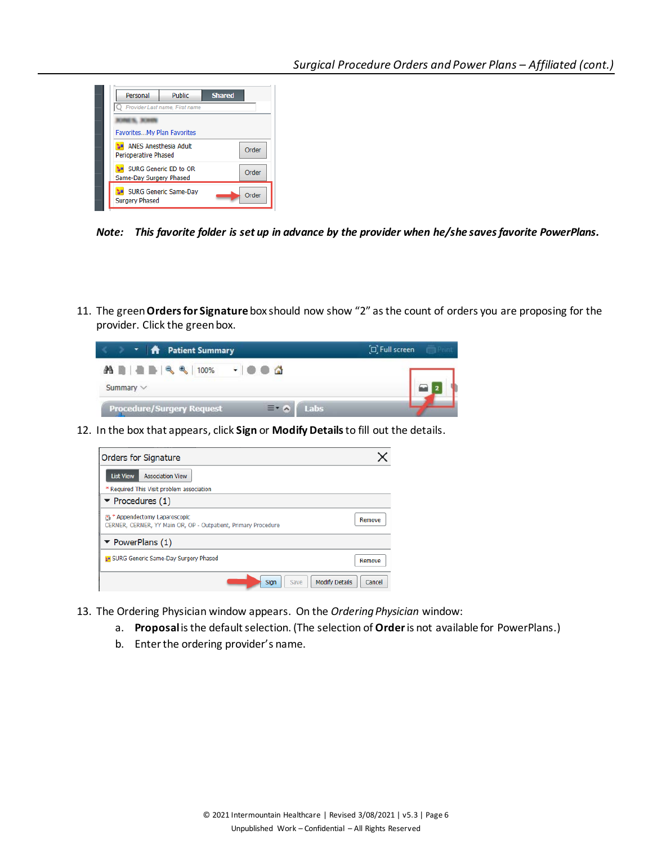

*Note: This favorite folder is set up in advance by the provider when he/she saves favorite PowerPlans.*

11. The green **Orders for Signature** box should now show "2" as the count of orders you are proposing for the provider. Click the green box.

|  |                | T   A Patient Summary                    | $\Box$ Full screen<br><b>GEL Prime</b> |
|--|----------------|------------------------------------------|----------------------------------------|
|  | Summary $\vee$ | A B & B < < 100% - 0 0 4                 |                                        |
|  |                | <b>Procedure/Surgery Request</b><br>Labs |                                        |

12. In the box that appears, click **Sign** or **Modify Details** to fill out the details.

| Orders for Signature                                                                            |        |
|-------------------------------------------------------------------------------------------------|--------|
| <b>Association View</b><br><b>List View</b>                                                     |        |
| * Required This Visit problem association                                                       |        |
| $\blacktriangleright$ Procedures (1)                                                            |        |
| 图 * Appendectomy Laparoscopic<br>CERNER, CERNER, YY Main OR, OP - Outpatient, Primary Procedure | Remove |
| $\blacktriangleright$ PowerPlans (1)                                                            |        |
| SURG Generic Same-Day Surgery Phased                                                            | Remove |
| <b>Modify Details</b><br>Sign<br>Save                                                           | Cancel |

- 13. The Ordering Physician window appears. On the *Ordering Physician* window:
	- a. **Proposal**is the default selection. (The selection of **Order**is not available for PowerPlans.)
	- b. Enter the ordering provider's name.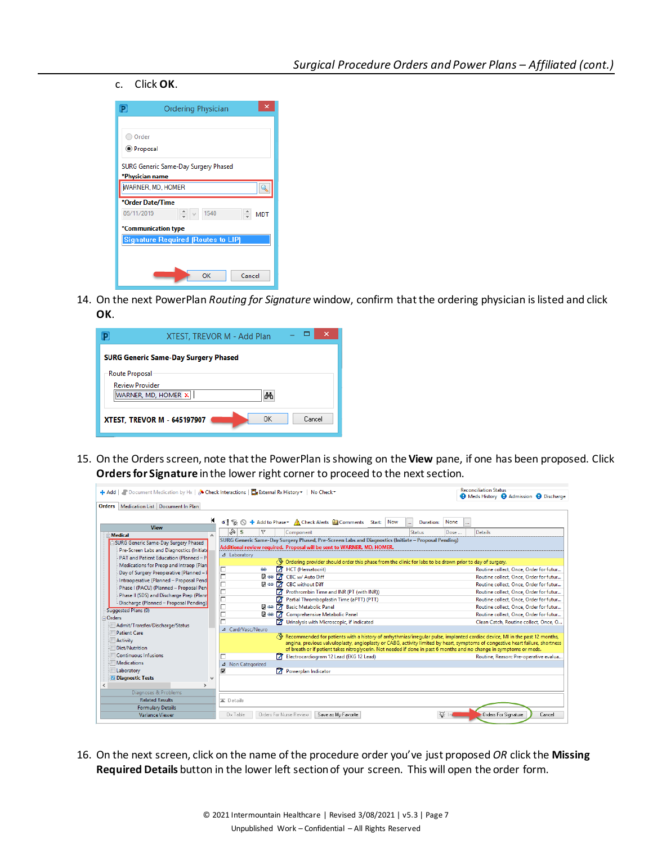#### c. Click **OK**.

| P.<br>Ordering Physician                  |
|-------------------------------------------|
|                                           |
| Order                                     |
| <b>O</b> Proposal                         |
| SURG Generic Same-Day Surgery Phased      |
| *Physician name                           |
| <b>WARNER, MD, HOMER</b>                  |
| *Order Date/Time                          |
| 09/11/2019<br>1540<br><b>MDT</b>          |
| *Communication type                       |
| <b>Signature Required (Routes to LIP)</b> |
|                                           |
|                                           |
| OK<br>Cancel                              |

14. On the next PowerPlan *Routing for Signature* window, confirm that the ordering physician is listed and click **OK**.

|                        | XTEST, TREVOR M - Add Plan                         |
|------------------------|----------------------------------------------------|
|                        | <b>SURG Generic Same-Day Surgery Phased</b>        |
| <b>Route Proposal</b>  |                                                    |
| <b>Review Provider</b> | WARNER, MD, HOMER X   <br>ሎስ                       |
|                        | OK<br>Cancel<br><b>XTEST, TREVOR M - 645197907</b> |

15. On the Orders screen, note that the PowerPlan is showing on the **View** pane, if one has been proposed. Click **Orders for Signature** in the lower right corner to proceed to the next section.

| Medication List Document In Plan<br><b>Orders</b>                                                                                                                                                                                                                                                                                                                                                                                                                                                                                                                      | → Add   ● Document Medication by Hx   A Check Interactions   Ta External Rx History >   No Check                                                                                                                                                                                                                                                                                                                                                                                                                                                                                                                                                                                                                                                                                                                                                                                                                                                                                                                                                                                                                                                                                                                                                 | <b>Reconciliation Status</b><br><b>O</b> Meds History <b>O</b> Admission <b>O</b> Discharge                                                                                                                                                                                                                                                                            |
|------------------------------------------------------------------------------------------------------------------------------------------------------------------------------------------------------------------------------------------------------------------------------------------------------------------------------------------------------------------------------------------------------------------------------------------------------------------------------------------------------------------------------------------------------------------------|--------------------------------------------------------------------------------------------------------------------------------------------------------------------------------------------------------------------------------------------------------------------------------------------------------------------------------------------------------------------------------------------------------------------------------------------------------------------------------------------------------------------------------------------------------------------------------------------------------------------------------------------------------------------------------------------------------------------------------------------------------------------------------------------------------------------------------------------------------------------------------------------------------------------------------------------------------------------------------------------------------------------------------------------------------------------------------------------------------------------------------------------------------------------------------------------------------------------------------------------------|------------------------------------------------------------------------------------------------------------------------------------------------------------------------------------------------------------------------------------------------------------------------------------------------------------------------------------------------------------------------|
| К<br><b>View</b><br><b>Medical</b><br>$\wedge$<br>SURG Generic Same-Day Surgery Phased<br>Pre-Screen Labs and Diagnostics (Initiate<br>PAT and Patient Education (Planned - P<br>Medications for Preop and Intraop (Plan<br>Day of Surgery Preoperative (Planned -<br>Intraoperative (Planned - Proposal Pend<br>Phase I (PACU) (Planned - Proposal Pen<br>Phase II (SDS) and Discharge Prep (Plann<br>Discharge (Planned - Proposal Pending)<br>Suggested Plans (0)<br>Orders<br>Admit/Transfer/Discharge/Status<br>Patient Care<br><b>Activity</b><br>Diet/Nutrition | 4 % N + Add to Phase > A Check Alerts U Comments Start:<br>Now<br>Duration:<br>  ⊗  \$<br>v<br>Status<br>Component<br>SURG Generic Same-Day Surgery Phased, Pre-Screen Labs and Diagnostics (Initiate - Proposal Pending)<br>Additional review required. Proposal will be sent to WARNER, MD, HOMER.<br>⊿ Laboratory<br>Ordering provider should order this phase from the clinic for labs to be drawn prior to day of surgery.<br>7<br>HCT (Hematocrit)<br>г<br>es<br>Г<br><b>Dea</b> 7 CBC w/ Auto Diff<br>г<br><b>D</b> so <b>7</b> CBC without Diff<br>Е<br>7<br>Prothrombin Time and INR (PT (with INR))<br>Г<br>n<br>Partial Thromboplastin Time (aPTT) (PTT)<br>п<br>$R \approx 77$<br><b>Basic Metabolic Panel</b><br>$B \leftrightarrow 77$<br>Comprehensive Metabolic Panel<br>Urinalysis with Microscopic, if indicated<br>⊿ Card/Vasc/Neuro<br>Recommended for patients with a history of arrhythmias/irreqular pulse, implanted cardiac device, MI in the past 12 months,<br>angina, previous valvuloplasty, angioplasty or CABG, activity limited by heart, symptoms of congestive heart failure, shortness<br>of breath or if patient takes nitroglycerin. Not needed if done in past 6 months and no change in symptoms or meds. | None<br>Details<br>Dose<br>Routine collect. Once. Order for futur<br>Routine collect, Once, Order for futur<br>Routine collect, Once, Order for futur<br>Routine collect, Once, Order for futur<br>Routine collect, Once, Order for futur<br>Routine collect, Once, Order for futur<br>Routine collect. Once. Order for futur<br>Clean Catch, Routine collect, Once, O |
| Continuous Infusions<br>Medications                                                                                                                                                                                                                                                                                                                                                                                                                                                                                                                                    | Electrocardiogram 12 Lead (EKG 12 Lead)<br>Non Categorized<br>$\Delta$                                                                                                                                                                                                                                                                                                                                                                                                                                                                                                                                                                                                                                                                                                                                                                                                                                                                                                                                                                                                                                                                                                                                                                           | Routine, Reason: Pre-operative evalua                                                                                                                                                                                                                                                                                                                                  |
| Laboratory<br><b>Diagnostic Tests</b><br>$\ddot{\phantom{1}}$<br>$\rightarrow$                                                                                                                                                                                                                                                                                                                                                                                                                                                                                         | v<br>Powerplan Indicator                                                                                                                                                                                                                                                                                                                                                                                                                                                                                                                                                                                                                                                                                                                                                                                                                                                                                                                                                                                                                                                                                                                                                                                                                         |                                                                                                                                                                                                                                                                                                                                                                        |
| Diagnoses & Problems<br><b>Related Results</b><br><b>Formulary Details</b><br><b>Variance Viewer</b>                                                                                                                                                                                                                                                                                                                                                                                                                                                                   | $\equiv$ Details<br><b>Q.</b><br>Dx Table<br><b>Orders For Nurse Review</b><br>Save as My Favorite                                                                                                                                                                                                                                                                                                                                                                                                                                                                                                                                                                                                                                                                                                                                                                                                                                                                                                                                                                                                                                                                                                                                               | <b>Orders For Signature</b><br>Cancel                                                                                                                                                                                                                                                                                                                                  |

16. On the next screen, click on the name of the procedure order you've just proposed *OR* click the **Missing Required Details** button in the lower left section of your screen. This will open the order form.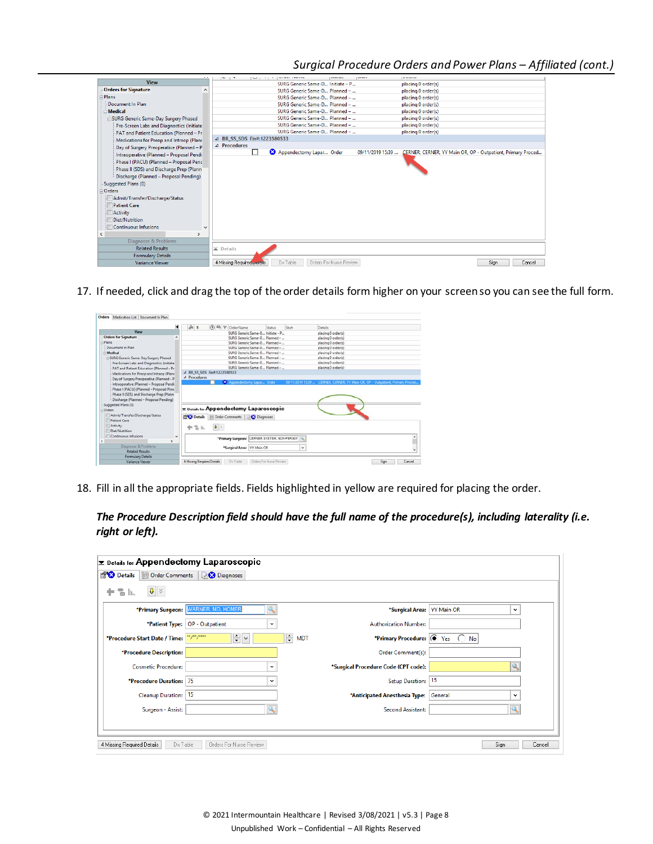## *Surgical Procedure Orders and Power Plans – Affiliated (cont.)*

|                                           | エンドレーション<br>$-$                     | <b>CONTRACTOR</b> COMPANY AND    |                         | ------                                                      |
|-------------------------------------------|-------------------------------------|----------------------------------|-------------------------|-------------------------------------------------------------|
| <b>View</b>                               |                                     | SURG Generic Same-D Initiate - P |                         | placing 0 order(s)                                          |
| <b>Orders for Signature</b>               |                                     | SURG Generic Same-D Planned -    |                         | placing 0 order(s)                                          |
| Plans                                     |                                     | SURG Generic Same-D Planned -    |                         | placing 0 order(s)                                          |
| Document In Plan                          |                                     | SURG Generic Same-D Planned -    |                         | placing 0 order(s)                                          |
| Medical                                   |                                     | SURG Generic Same-D Planned -    |                         | placing 0 order(s)                                          |
| SURG Generic Same-Day Surgery Phased      |                                     | SURG Generic Same-D Planned -    |                         | placing 0 order(s)                                          |
| Pre-Screen Labs and Diagnostics (Initiate |                                     | SURG Generic Same-D Planned -    |                         | placing 0 order(s)                                          |
| PAT and Patient Education (Planned - Pr   |                                     | SURG Generic Same-D Planned -    |                         | placing 0 order(s)                                          |
| Medications for Preop and Intraop (Planr  | 4 BR SS SDS Fin#:1223580533         |                                  |                         |                                                             |
| Day of Surgery Preoperative (Planned - P  | 4 Procedures                        |                                  |                         |                                                             |
| Intraoperative (Planned - Proposal Pendi  |                                     | Appendectomy Lapar Order         | 09/11/2019 15:39        | CERNER, CERNER, YY Main OR, OP - Outpatient, Primary Proced |
| Phase I (PACU) (Planned - Proposal Penc   |                                     |                                  |                         |                                                             |
| Phase II (SDS) and Discharge Prep (Plann  |                                     |                                  |                         |                                                             |
| Discharge (Planned - Proposal Pending)    |                                     |                                  |                         |                                                             |
| Suggested Plans (0)                       |                                     |                                  |                         |                                                             |
| Orders                                    |                                     |                                  |                         |                                                             |
|                                           |                                     |                                  |                         |                                                             |
| Admit/Transfer/Discharge/Status           |                                     |                                  |                         |                                                             |
| <b>Patient Care</b>                       |                                     |                                  |                         |                                                             |
| <b>Activity</b>                           |                                     |                                  |                         |                                                             |
| Diet/Nutrition                            |                                     |                                  |                         |                                                             |
| <b>Continuous Infusions</b>               |                                     |                                  |                         |                                                             |
| $\mathbf{r}$                              |                                     |                                  |                         |                                                             |
| Diagnoses & Problems                      |                                     |                                  |                         |                                                             |
| <b>Related Results</b>                    | $\overline{\blacktriangle}$ Details |                                  |                         |                                                             |
| <b>Formulary Details</b>                  |                                     |                                  |                         |                                                             |
| <b>Variance Viewer</b>                    | 4 Missing Required Details          | Dx Table                         | Orders For Nurse Review | Sian<br>Cancel                                              |
|                                           |                                     |                                  |                         |                                                             |

17. If needed, click and drag the top of the order details form higher on your screen so you can see the full form.

| Se s<br>(7) EB P Order Name                 | Status<br>Start                           | Details                                                                                                                                                                                                                                                                                                                                                                                                     |                                                                                                                           |
|---------------------------------------------|-------------------------------------------|-------------------------------------------------------------------------------------------------------------------------------------------------------------------------------------------------------------------------------------------------------------------------------------------------------------------------------------------------------------------------------------------------------------|---------------------------------------------------------------------------------------------------------------------------|
|                                             |                                           |                                                                                                                                                                                                                                                                                                                                                                                                             |                                                                                                                           |
|                                             |                                           | placing 0 order(s)                                                                                                                                                                                                                                                                                                                                                                                          |                                                                                                                           |
|                                             |                                           | placing 0 order(s)                                                                                                                                                                                                                                                                                                                                                                                          |                                                                                                                           |
|                                             |                                           | placing 0 order(s)                                                                                                                                                                                                                                                                                                                                                                                          |                                                                                                                           |
|                                             |                                           | placing 0 order(s)                                                                                                                                                                                                                                                                                                                                                                                          |                                                                                                                           |
|                                             |                                           | placing 0 order(s)                                                                                                                                                                                                                                                                                                                                                                                          |                                                                                                                           |
|                                             |                                           | placing 0 order(s)                                                                                                                                                                                                                                                                                                                                                                                          |                                                                                                                           |
|                                             |                                           |                                                                                                                                                                                                                                                                                                                                                                                                             |                                                                                                                           |
| 4 BR SS SDS Fin#:1223580533                 |                                           |                                                                                                                                                                                                                                                                                                                                                                                                             |                                                                                                                           |
|                                             |                                           |                                                                                                                                                                                                                                                                                                                                                                                                             |                                                                                                                           |
|                                             |                                           |                                                                                                                                                                                                                                                                                                                                                                                                             |                                                                                                                           |
|                                             |                                           |                                                                                                                                                                                                                                                                                                                                                                                                             |                                                                                                                           |
|                                             |                                           |                                                                                                                                                                                                                                                                                                                                                                                                             |                                                                                                                           |
|                                             |                                           |                                                                                                                                                                                                                                                                                                                                                                                                             |                                                                                                                           |
|                                             |                                           |                                                                                                                                                                                                                                                                                                                                                                                                             |                                                                                                                           |
| $\pmb{\mathbb{J}}$ .<br>中华瓦                 |                                           |                                                                                                                                                                                                                                                                                                                                                                                                             |                                                                                                                           |
|                                             |                                           |                                                                                                                                                                                                                                                                                                                                                                                                             |                                                                                                                           |
|                                             |                                           |                                                                                                                                                                                                                                                                                                                                                                                                             |                                                                                                                           |
| "Primary Surgeon: CERNER SYSTEM, NON-PERSON |                                           |                                                                                                                                                                                                                                                                                                                                                                                                             |                                                                                                                           |
|                                             |                                           |                                                                                                                                                                                                                                                                                                                                                                                                             |                                                                                                                           |
| "Surgical Area: VY Main OR                  | ù                                         |                                                                                                                                                                                                                                                                                                                                                                                                             |                                                                                                                           |
|                                             |                                           |                                                                                                                                                                                                                                                                                                                                                                                                             |                                                                                                                           |
|                                             | <i>A</i> Procedures<br><b>CPC</b> Details | SURG Generic Same-D., Initiate - P.,<br>SURG Generic Same-D., Planned -<br>SURG Generic Same-D., Planned -<br>SURG Generic Same-D., Planned -<br>SURG Generic Same-D., Planned -<br>SURG Generic Same-D., Planned -<br>SURG Generic Same-D., Planned -<br>SURG Generic Same-D., Planned -<br>X Appendectomy Lapan Order<br><b>T Details for Appendectomy Laparoscopic</b><br>Corder Comments   20 Diagnoses | placing 0 order(s)<br>placing 0 order(s)<br>09/11/2019 15:39  CERNER, CERNER, YY Main OR, OP - Outpatient, Primary Proced |

18. Fill in all the appropriate fields. Fields highlighted in yellow are required for placing the order.

*The Procedure Description field should have the full name of the procedure(s), including laterality (i.e. right or left).*

| $\mathbf{\Sigma}$ Details for Appendectomy Laparoscopic |                                 |                                              |                                   |        |
|---------------------------------------------------------|---------------------------------|----------------------------------------------|-----------------------------------|--------|
| <b>Provide</b> Details<br><b>III</b> Order Comments     | <b>Diagnoses</b>                |                                              |                                   |        |
| $\frac{1}{2}$<br>÷<br>$\overline{a}$ In.                |                                 |                                              |                                   |        |
| *Primary Surgeon:                                       | <b>WARNER, MD, HOMER</b>        | *Surgical Area:                              | <b>YY Main OR</b><br>$\checkmark$ |        |
| *Patient Type:                                          | OP - Outpatient<br>$\checkmark$ | <b>Authorization Number:</b>                 |                                   |        |
| *Procedure Start Date / Time:                           | ÷l⊻<br><u>**/**/****</u>        | ÷<br>*Primary Procedure: O Yes<br><b>MDT</b> | $\bigcirc$ No                     |        |
| *Procedure Description:                                 |                                 | Order Comment(s):                            |                                   |        |
| <b>Cosmetic Procedure:</b>                              | $\checkmark$                    | *Surgical Procedure Code (CPT code):         | Q                                 |        |
| *Procedure Duration: 75                                 | v                               | Setup Duration:                              | 15                                |        |
| Cleanup Duration:                                       | 15                              | *Anticipated Anesthesia Type:                | General<br>$\checkmark$           |        |
| Surgeon - Assist:                                       |                                 | Second Assistant:                            |                                   |        |
|                                                         |                                 |                                              |                                   |        |
|                                                         |                                 |                                              |                                   |        |
| 4 Missing Required Details<br>Dx Table                  | Orders For Nurse Review         |                                              | Sign                              | Cancel |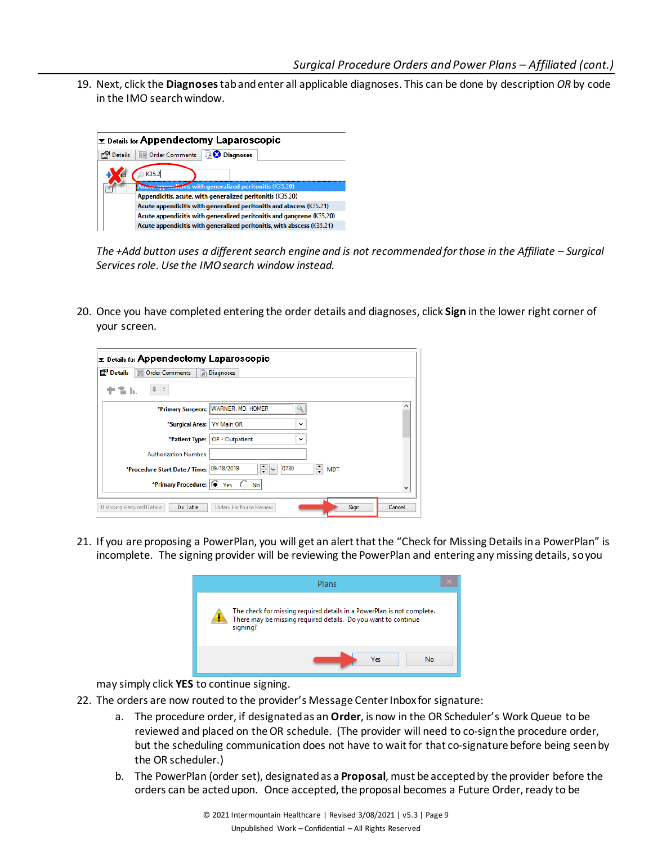19. Next, click the **Diagnoses**taband enter all applicable diagnoses. This can be done by description *OR* by code in the IMO search window.



*The +Add button uses a different search engine and is not recommended for those in the Affiliate – Surgical Services role. Use the IMO search window instead.*

20. Once you have completed entering the order details and diagnoses, click **Sign** in the lower right corner of your screen.

| $\Sigma$ Details for Appendectomy Laparoscopic                    |                                                      |  |
|-------------------------------------------------------------------|------------------------------------------------------|--|
| <b>图 Details</b><br><b>III</b> Order Comments<br><b>Diagnoses</b> |                                                      |  |
| llı.                                                              |                                                      |  |
| *Primary Surgeon:   WARNER, MD, HOMER                             |                                                      |  |
| *Surgical Area:                                                   | <b>YY Main OR</b><br>$\checkmark$                    |  |
| *Patient Type:                                                    | OP - Outpatient<br>$\checkmark$                      |  |
| <b>Authorization Number:</b>                                      |                                                      |  |
| *Procedure Start Date / Time: 09/18/2019                          | ÷<br>$\frac{1}{\sqrt{2}}$<br>0730<br><b>MDT</b><br>v |  |
| *Primary Procedure: (O) Yes                                       | No                                                   |  |
| Dx Table<br>0 Missing Required Details                            | Orders For Nurse Review<br>Sign<br>Cancel            |  |

21. If you are proposing a PowerPlan, you will get an alert that the "Check for Missing Detailsin a PowerPlan" is incomplete. The signing provider will be reviewing the PowerPlan and entering any missing details, so you



may simply click **YES** to continue signing.

- 22. The orders are now routed to the provider's Message Center Inbox for signature:
	- a. The procedure order, if designated as an **Order**, is now in the OR Scheduler's Work Queue to be reviewed and placed on the OR schedule. (The provider will need to co-sign the procedure order, but the scheduling communication does not have to wait for that co-signature before being seen by the OR scheduler.)
	- b. The PowerPlan (order set), designated as a **Proposal**, must be accepted by the provider before the orders can be acted upon. Once accepted, the proposal becomes a Future Order, ready to be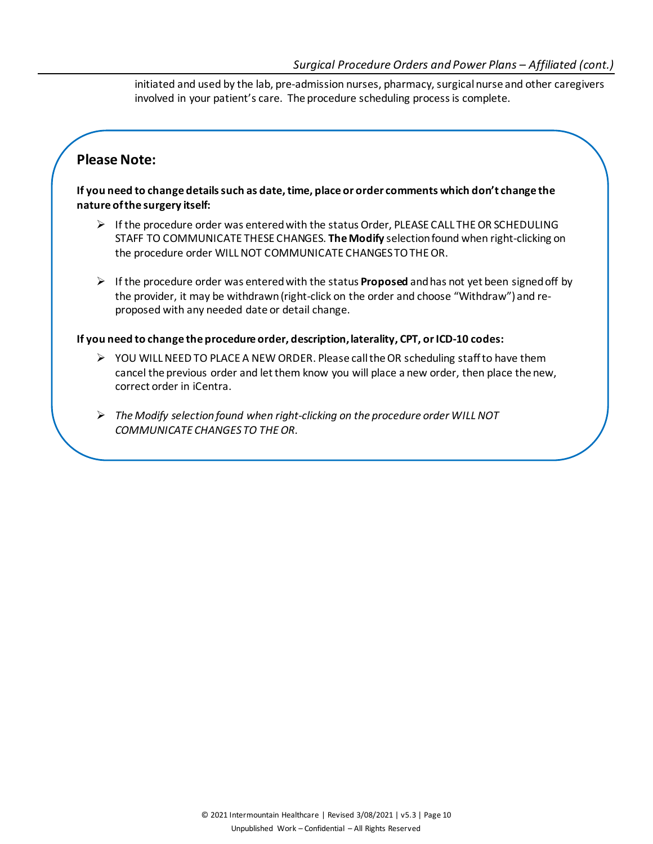initiated and used by the lab, pre-admission nurses, pharmacy, surgicalnurse and other caregivers involved in your patient's care. The procedure scheduling process is complete.

# **Please Note:**

**If you need to change details such as date, time, place or order comments which don't change the nature of the surgery itself:**

- $\triangleright$  If the procedure order was entered with the status Order, PLEASE CALL THE OR SCHEDULING STAFF TO COMMUNICATE THESE CHANGES. **The Modify** selection found when right-clicking on the procedure order WILL NOT COMMUNICATE CHANGES TO THE OR.
- $\triangleright$  If the procedure order was entered with the status **Proposed** and has not yet been signed off by the provider, it may be withdrawn (right-click on the order and choose "Withdraw") and reproposed with any needed date or detail change.

### **If you need to change the procedure order, description, laterality, CPT, or ICD-10 codes:**

- $\triangleright$  YOU WILL NEED TO PLACE A NEW ORDER. Please call the OR scheduling staff to have them cancel the previous order and let them know you will place a new order, then place the new, correct order in iCentra.
- *The Modify selection found when right-clicking on the procedure order WILL NOT COMMUNICATE CHANGES TO THE OR.*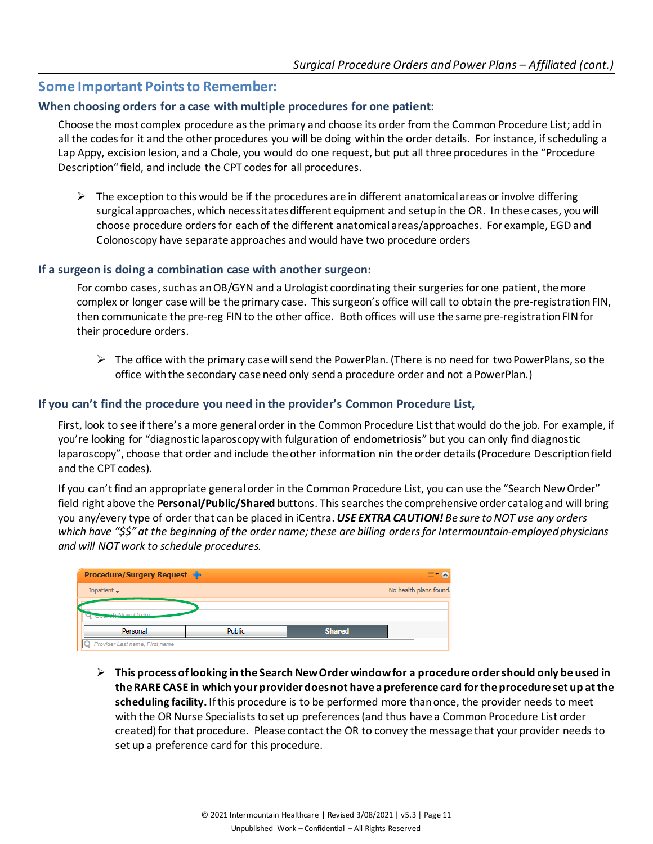## **Some Important Points to Remember:**

#### **When choosing orders for a case with multiple procedures for one patient:**

Choose the most complex procedure as the primary and choose its order from the Common Procedure List; add in all the codes for it and the other procedures you will be doing within the order details. For instance, if scheduling a Lap Appy, excision lesion, and a Chole, you would do one request, but put all three procedures in the "Procedure Description" field, and include the CPT codes for all procedures.

 $\triangleright$  The exception to this would be if the procedures are in different anatomical areas or involve differing surgical approaches, which necessitates different equipment and setup in the OR. In these cases, you will choose procedure orders for each of the different anatomical areas/approaches. For example, EGD and Colonoscopy have separate approaches and would have two procedure orders

#### **If a surgeon is doing a combination case with another surgeon:**

For combo cases, such as an OB/GYN and a Urologist coordinating their surgeries for one patient, the more complex or longer case will be the primary case. This surgeon's office will call to obtain the pre-registration FIN, then communicate the pre-reg FIN to the other office. Both offices will use the same pre-registration FIN for their procedure orders.

 $\triangleright$  The office with the primary case will send the PowerPlan. (There is no need for two PowerPlans, so the office with the secondary case need only send a procedure order and not a PowerPlan.)

#### **If you can't find the procedure you need in the provider's Common Procedure List,**

First, look to see if there's a more general order in the Common Procedure List that would do the job. For example, if you're looking for "diagnostic laparoscopywith fulguration of endometriosis" but you can only find diagnostic laparoscopy", choose that order and include the other information nin the order details (Procedure Description field and the CPT codes).

If you can't find an appropriate general order in the Common Procedure List, you can use the "Search New Order" field right above the **Personal/Public/Shared** buttons. This searches the comprehensive order catalog and will bring you any/every type of order that can be placed in iCentra. *USE EXTRA CAUTION! Be sure to NOT use any orders which have "\$\$" at the beginning of the order name; these are billing orders for Intermountain-employed physicians and will NOT work to schedule procedures.*

| <b>Procedure/Surgery Request</b>         |               |               |                        |
|------------------------------------------|---------------|---------------|------------------------|
| Inpatient $\rightarrow$                  |               |               | No health plans found. |
|                                          |               |               |                        |
| <b>Baseb Now Order</b><br><b>Olytany</b> |               |               |                        |
| Personal                                 | <b>Public</b> | <b>Shared</b> |                        |
| Provider Last name, First name           |               |               |                        |

 **This process of looking in the Search New Order window for a procedure order should only be used in the RARE CASE in which your provider does not have a preference card for the procedure set up at the scheduling facility.** If this procedure is to be performed more than once, the provider needs to meet with the OR Nurse Specialists to set up preferences(and thus have a Common Procedure List order created) for that procedure. Please contact the OR to convey the message that your provider needs to set up a preference card for this procedure.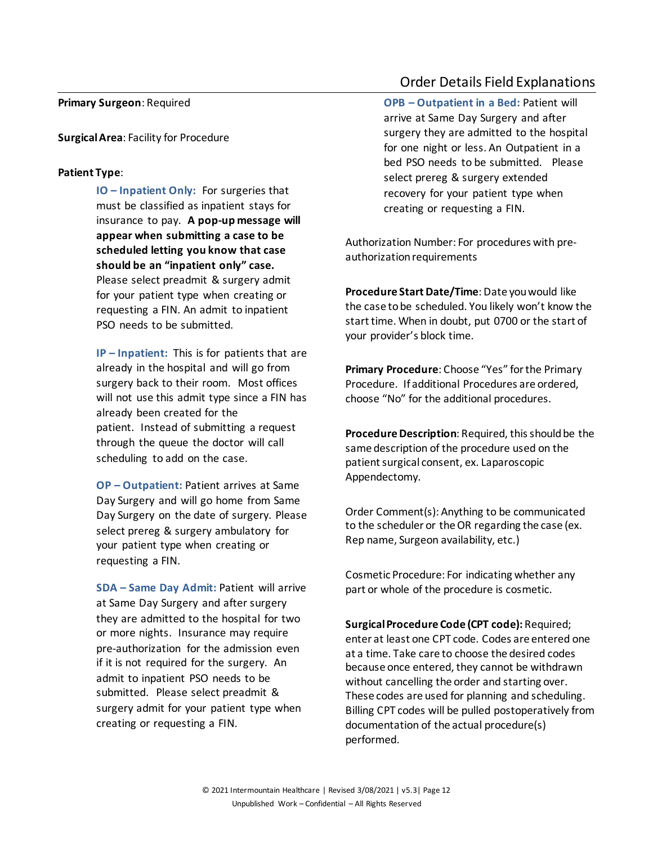#### **Primary Surgeon**: Required

**Surgical Area**: Facility for Procedure

#### **Patient Type**:

**IO – Inpatient Only:** For surgeries that must be classified as inpatient stays for insurance to pay. **A pop-up message will appear when submitting a case to be scheduled letting you know that case should be an "inpatient only" case.**  Please select preadmit & surgery admit for your patient type when creating or requesting a FIN. An admit to inpatient PSO needs to be submitted.

**IP – Inpatient:** This is for patients that are already in the hospital and will go from surgery back to their room. Most offices will not use this admit type since a FIN has already been created for the patient. Instead of submitting a request through the queue the doctor will call scheduling to add on the case.

**OP – Outpatient:** Patient arrives at Same Day Surgery and will go home from Same Day Surgery on the date of surgery. Please select prereg & surgery ambulatory for your patient type when creating or requesting a FIN.

**SDA – Same Day Admit:** Patient will arrive at Same Day Surgery and after surgery they are admitted to the hospital for two or more nights. Insurance may require pre-authorization for the admission even if it is not required for the surgery. An admit to inpatient PSO needs to be submitted. Please select preadmit & surgery admit for your patient type when creating or requesting a FIN.

## Order Details Field Explanations

**OPB – Outpatient in a Bed:** Patient will arrive at Same Day Surgery and after surgery they are admitted to the hospital for one night or less. An Outpatient in a bed PSO needs to be submitted. Please select prereg & surgery extended recovery for your patient type when creating or requesting a FIN.

Authorization Number: For procedures with preauthorization requirements

**Procedure Start Date/Time**: Date you would like the case to be scheduled. You likely won't know the start time. When in doubt, put 0700 or the start of your provider's block time.

**Primary Procedure**: Choose "Yes" for the Primary Procedure. If additional Procedures are ordered, choose "No" for the additional procedures.

**Procedure Description**: Required, this should be the same description of the procedure used on the patient surgical consent, ex. Laparoscopic Appendectomy.

Order Comment(s): Anything to be communicated to the scheduler or the OR regarding the case (ex. Rep name, Surgeon availability, etc.)

Cosmetic Procedure: For indicating whether any part or whole of the procedure is cosmetic.

**Surgical Procedure Code (CPT code):** Required; enter at least one CPT code. Codes are entered one at a time. Take care to choose the desired codes because once entered, they cannot be withdrawn without cancelling the order and starting over. These codes are used for planning and scheduling. Billing CPT codes will be pulled postoperatively from documentation of the actual procedure(s) performed.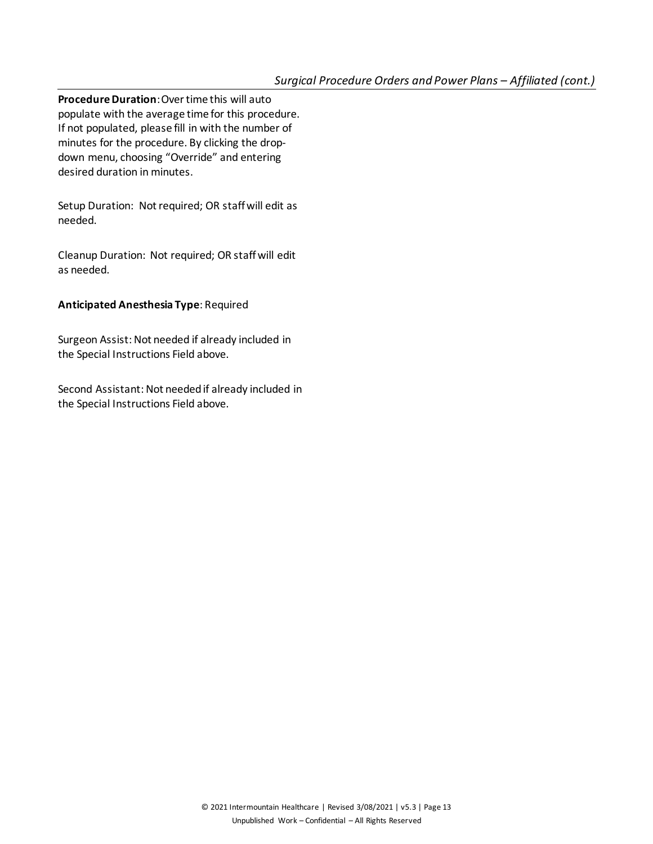**Procedure Duration**: Over time this will auto populate with the average time for this procedure. If not populated, please fill in with the number of minutes for the procedure. By clicking the dropdown menu, choosing "Override" and entering desired duration in minutes.

Setup Duration: Not required; OR staff will edit as needed.

Cleanup Duration: Not required; OR staff will edit as needed.

### **Anticipated Anesthesia Type**: Required

Surgeon Assist: Not needed if already included in the Special Instructions Field above.

Second Assistant: Not needed if already included in the Special Instructions Field above.